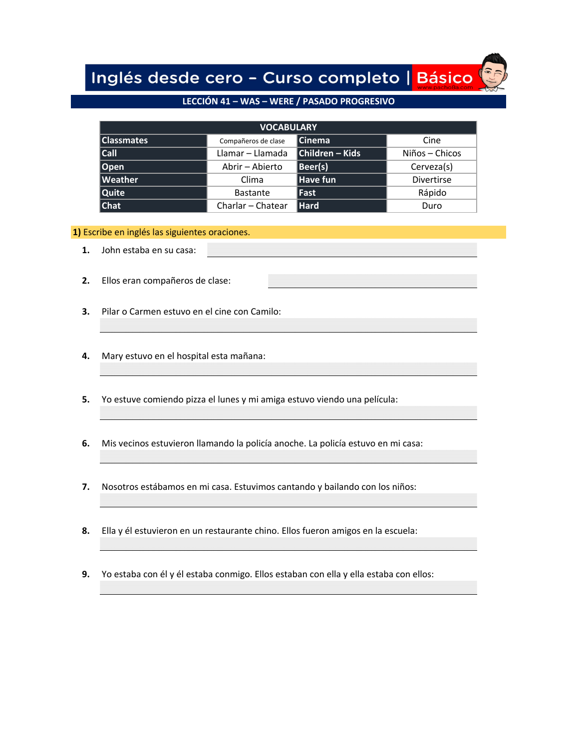# Inglés desde cero - Curso completo | Básico

# **[LECCIÓN 41 – WAS – WERE / PASADO PROGRESIVO](https://www.pacho8a.com/ingl%C3%A9s/curso-ingl%C3%A9s-nivel-b%C3%A1sico/lecci%C3%B3n-41/)**

| <b>VOCABULARY</b> |                     |                 |                   |  |  |
|-------------------|---------------------|-----------------|-------------------|--|--|
| <b>Classmates</b> | Compañeros de clase | <b>Cinema</b>   | Cine              |  |  |
| $ $ Call          | Llamar – Llamada    | Children - Kids | Niños – Chicos    |  |  |
| Open              | Abrir - Abierto     | Beer(s)         | Cerveza(s)        |  |  |
| <b>Weather</b>    | Clima               | Have fun        | <b>Divertirse</b> |  |  |
| Quite             | <b>Bastante</b>     | <b> Fast</b>    | Rápido            |  |  |
| <b>Chat</b>       | Charlar - Chatear   | Hard            | Duro              |  |  |

#### **1)** Escribe en inglés las siguientes oraciones.

- **1.** John estaba en su casa:
- **2.** Ellos eran compañeros de clase:
- **3.** Pilar o Carmen estuvo en el cine con Camilo:
- **4.** Mary estuvo en el hospital esta mañana:
- **5.** Yo estuve comiendo pizza el lunes y mi amiga estuvo viendo una película:
- **6.** Mis vecinos estuvieron llamando la policía anoche. La policía estuvo en mi casa:
- **7.** Nosotros estábamos en mi casa. Estuvimos cantando y bailando con los niños:
- **8.** Ella y él estuvieron en un restaurante chino. Ellos fueron amigos en la escuela:
- **9.** Yo estaba con él y él estaba conmigo. Ellos estaban con ella y ella estaba con ellos: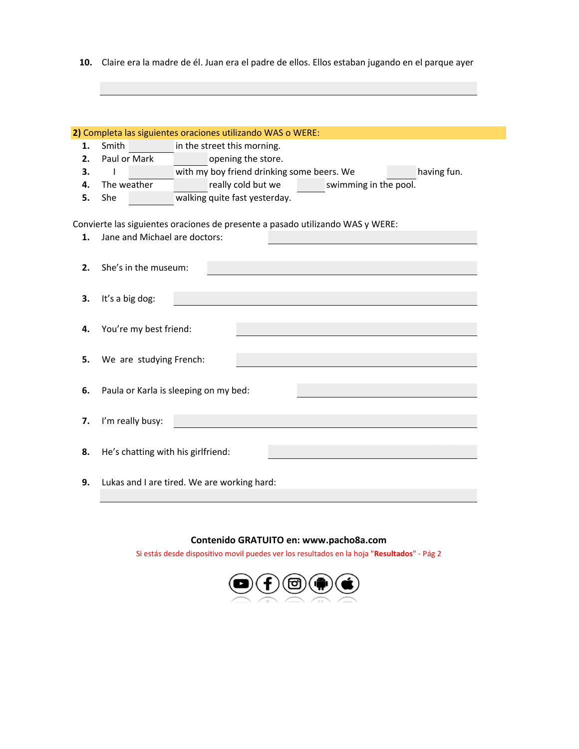**10.** Claire era la madre de él. Juan era el padre de ellos. Ellos estaban jugando en el parque ayer

|    |                                             | 2) Completa las siguientes oraciones utilizando WAS o WERE:                    |  |  |  |
|----|---------------------------------------------|--------------------------------------------------------------------------------|--|--|--|
| 1. | Smith                                       | in the street this morning.                                                    |  |  |  |
| 2. | Paul or Mark                                | opening the store.                                                             |  |  |  |
| 3. |                                             | with my boy friend drinking some beers. We<br>having fun.                      |  |  |  |
| 4. | The weather                                 | really cold but we<br>swimming in the pool.                                    |  |  |  |
| 5. | She                                         | walking quite fast yesterday.                                                  |  |  |  |
|    |                                             |                                                                                |  |  |  |
|    |                                             | Convierte las siguientes oraciones de presente a pasado utilizando WAS y WERE: |  |  |  |
| 1. | Jane and Michael are doctors:               |                                                                                |  |  |  |
|    |                                             |                                                                                |  |  |  |
| 2. | She's in the museum:                        |                                                                                |  |  |  |
|    |                                             |                                                                                |  |  |  |
|    |                                             |                                                                                |  |  |  |
| 3. | It's a big dog:                             |                                                                                |  |  |  |
|    |                                             |                                                                                |  |  |  |
| 4. | You're my best friend:                      |                                                                                |  |  |  |
|    |                                             |                                                                                |  |  |  |
| 5. | We are studying French:                     |                                                                                |  |  |  |
|    |                                             |                                                                                |  |  |  |
| 6. |                                             | Paula or Karla is sleeping on my bed:                                          |  |  |  |
|    |                                             |                                                                                |  |  |  |
|    |                                             |                                                                                |  |  |  |
| 7. | I'm really busy:                            |                                                                                |  |  |  |
|    |                                             |                                                                                |  |  |  |
| 8. | He's chatting with his girlfriend:          |                                                                                |  |  |  |
|    |                                             |                                                                                |  |  |  |
| 9. | Lukas and I are tired. We are working hard: |                                                                                |  |  |  |
|    |                                             |                                                                                |  |  |  |

## **Contenido GRATUITO en: www.pacho8a.com**

Si estás desde dispositivo movil puedes ver los resultados en la hoja "**Resultados**" - Pág 2

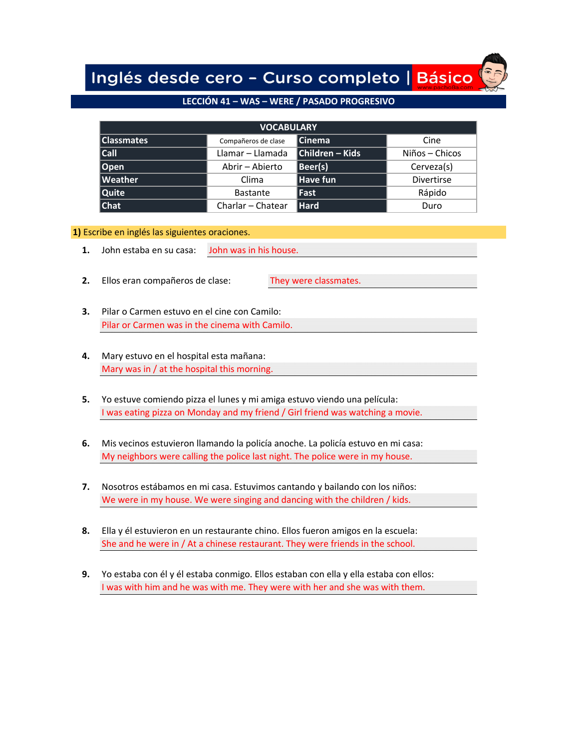Inglés desde cero - Curso completo | Básico

## **[LECCIÓN 41 – WAS – WERE / PASADO PROGRESIVO](https://www.pacho8a.com/ingl%C3%A9s/curso-ingl%C3%A9s-nivel-b%C3%A1sico/lecci%C3%B3n-41/)**

| <b>VOCABULARY</b> |                     |                 |                   |  |  |
|-------------------|---------------------|-----------------|-------------------|--|--|
| <b>Classmates</b> | Compañeros de clase | <b>Cinema</b>   | Cine              |  |  |
| $ $ Call          | Llamar – Llamada    | Children - Kids | Niños – Chicos    |  |  |
| Open              | Abrir - Abierto     | Beer(s)         | Cerveza(s)        |  |  |
| Weather           | Clima               | Have fun        | <b>Divertirse</b> |  |  |
| Quite             | <b>Bastante</b>     | <b> Fast</b>    | Rápido            |  |  |
| Chat              | Charlar - Chatear   | Hard            | Duro              |  |  |

**1)** Escribe en inglés las siguientes oraciones.

- **1.** John estaba en su casa: John was in his house.
- **2.** Ellos eran compañeros de clase: They were classmates.
- **3.** Pilar o Carmen estuvo en el cine con Camilo: Pilar or Carmen was in the cinema with Camilo.
- **4.** Mary estuvo en el hospital esta mañana: Mary was in / at the hospital this morning.
- **5.** Yo estuve comiendo pizza el lunes y mi amiga estuvo viendo una película: I was eating pizza on Monday and my friend / Girl friend was watching a movie.
- **6.** Mis vecinos estuvieron llamando la policía anoche. La policía estuvo en mi casa: My neighbors were calling the police last night. The police were in my house.
- **7.** Nosotros estábamos en mi casa. Estuvimos cantando y bailando con los niños: We were in my house. We were singing and dancing with the children / kids.
- **8.** Ella y él estuvieron en un restaurante chino. Ellos fueron amigos en la escuela: She and he were in / At a chinese restaurant. They were friends in the school.
- **9.** Yo estaba con él y él estaba conmigo. Ellos estaban con ella y ella estaba con ellos: I was with him and he was with me. They were with her and she was with them.